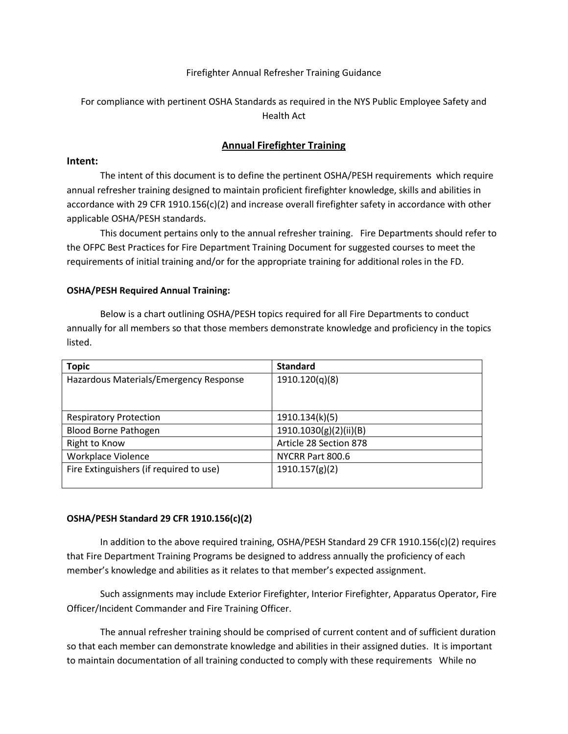### Firefighter Annual Refresher Training Guidance

# For compliance with pertinent OSHA Standards as required in the NYS Public Employee Safety and Health Act

## **Annual Firefighter Training**

#### **Intent:**

The intent of this document is to define the pertinent OSHA/PESH requirements which require annual refresher training designed to maintain proficient firefighter knowledge, skills and abilities in accordance with 29 CFR 1910.156(c)(2) and increase overall firefighter safety in accordance with other applicable OSHA/PESH standards.

This document pertains only to the annual refresher training. Fire Departments should refer to the OFPC Best Practices for Fire Department Training Document for suggested courses to meet the requirements of initial training and/or for the appropriate training for additional roles in the FD.

#### **OSHA/PESH Required Annual Training:**

Below is a chart outlining OSHA/PESH topics required for all Fire Departments to conduct annually for all members so that those members demonstrate knowledge and proficiency in the topics listed.

| <b>Topic</b>                            | <b>Standard</b>        |
|-----------------------------------------|------------------------|
| Hazardous Materials/Emergency Response  | 1910.120(q)(8)         |
|                                         |                        |
|                                         |                        |
| <b>Respiratory Protection</b>           | 1910.134(k)(5)         |
| <b>Blood Borne Pathogen</b>             | 1910.1030(g)(2)(ii)(B) |
| Right to Know                           | Article 28 Section 878 |
| Workplace Violence                      | NYCRR Part 800.6       |
| Fire Extinguishers (if required to use) | 1910.157(g)(2)         |
|                                         |                        |

#### **OSHA/PESH Standard 29 CFR 1910.156(c)(2)**

In addition to the above required training, OSHA/PESH Standard 29 CFR 1910.156(c)(2) requires that Fire Department Training Programs be designed to address annually the proficiency of each member's knowledge and abilities as it relates to that member's expected assignment.

Such assignments may include Exterior Firefighter, Interior Firefighter, Apparatus Operator, Fire Officer/Incident Commander and Fire Training Officer.

The annual refresher training should be comprised of current content and of sufficient duration so that each member can demonstrate knowledge and abilities in their assigned duties. It is important to maintain documentation of all training conducted to comply with these requirements While no